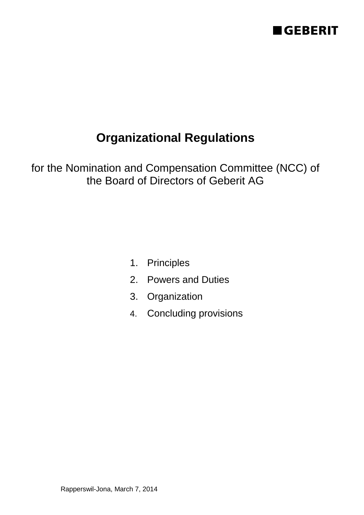

for the Nomination and Compensation Committee (NCC) of the Board of Directors of Geberit AG

- 1. Principles
- 2. Powers and Duties
- 3. Organization
- 4. Concluding provisions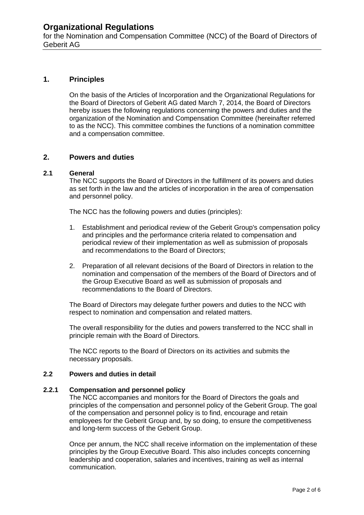for the Nomination and Compensation Committee (NCC) of the Board of Directors of Geberit AG

### **1. Principles**

On the basis of the Articles of Incorporation and the Organizational Regulations for the Board of Directors of Geberit AG dated March 7, 2014, the Board of Directors hereby issues the following regulations concerning the powers and duties and the organization of the Nomination and Compensation Committee (hereinafter referred to as the NCC). This committee combines the functions of a nomination committee and a compensation committee.

### **2. Powers and duties**

### **2.1 General**

The NCC supports the Board of Directors in the fulfillment of its powers and duties as set forth in the law and the articles of incorporation in the area of compensation and personnel policy.

The NCC has the following powers and duties (principles):

- 1. Establishment and periodical review of the Geberit Group's compensation policy and principles and the performance criteria related to compensation and periodical review of their implementation as well as submission of proposals and recommendations to the Board of Directors;
- 2. Preparation of all relevant decisions of the Board of Directors in relation to the nomination and compensation of the members of the Board of Directors and of the Group Executive Board as well as submission of proposals and recommendations to the Board of Directors.

The Board of Directors may delegate further powers and duties to the NCC with respect to nomination and compensation and related matters.

The overall responsibility for the duties and powers transferred to the NCC shall in principle remain with the Board of Directors.

The NCC reports to the Board of Directors on its activities and submits the necessary proposals.

### **2.2 Powers and duties in detail**

#### **2.2.1 Compensation and personnel policy**

The NCC accompanies and monitors for the Board of Directors the goals and principles of the compensation and personnel policy of the Geberit Group. The goal of the compensation and personnel policy is to find, encourage and retain employees for the Geberit Group and, by so doing, to ensure the competitiveness and long-term success of the Geberit Group.

Once per annum, the NCC shall receive information on the implementation of these principles by the Group Executive Board. This also includes concepts concerning leadership and cooperation, salaries and incentives, training as well as internal communication.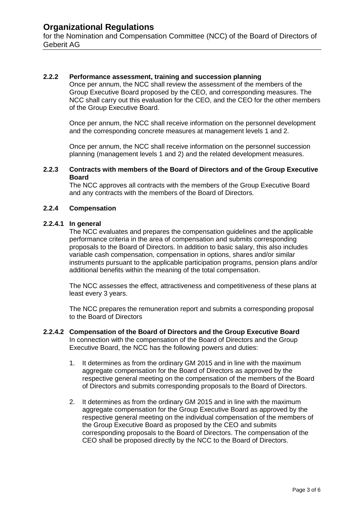for the Nomination and Compensation Committee (NCC) of the Board of Directors of Geberit AG

### **2.2.2 Performance assessment, training and succession planning**

Once per annum, the NCC shall review the assessment of the members of the Group Executive Board proposed by the CEO, and corresponding measures. The NCC shall carry out this evaluation for the CEO, and the CEO for the other members of the Group Executive Board.

Once per annum, the NCC shall receive information on the personnel development and the corresponding concrete measures at management levels 1 and 2.

Once per annum, the NCC shall receive information on the personnel succession planning (management levels 1 and 2) and the related development measures.

### **2.2.3 Contracts with members of the Board of Directors and of the Group Executive Board**

The NCC approves all contracts with the members of the Group Executive Board and any contracts with the members of the Board of Directors.

### **2.2.4 Compensation**

#### **2.2.4.1 In general**

The NCC evaluates and prepares the compensation guidelines and the applicable performance criteria in the area of compensation and submits corresponding proposals to the Board of Directors. In addition to basic salary, this also includes variable cash compensation, compensation in options, shares and/or similar instruments pursuant to the applicable participation programs, pension plans and/or additional benefits within the meaning of the total compensation.

The NCC assesses the effect, attractiveness and competitiveness of these plans at least every 3 years.

The NCC prepares the remuneration report and submits a corresponding proposal to the Board of Directors

#### **2.2.4.2 Compensation of the Board of Directors and the Group Executive Board** In connection with the compensation of the Board of Directors and the Group Executive Board, the NCC has the following powers and duties:

- 1. It determines as from the ordinary GM 2015 and in line with the maximum aggregate compensation for the Board of Directors as approved by the respective general meeting on the compensation of the members of the Board of Directors and submits corresponding proposals to the Board of Directors.
- 2. It determines as from the ordinary GM 2015 and in line with the maximum aggregate compensation for the Group Executive Board as approved by the respective general meeting on the individual compensation of the members of the Group Executive Board as proposed by the CEO and submits corresponding proposals to the Board of Directors. The compensation of the CEO shall be proposed directly by the NCC to the Board of Directors.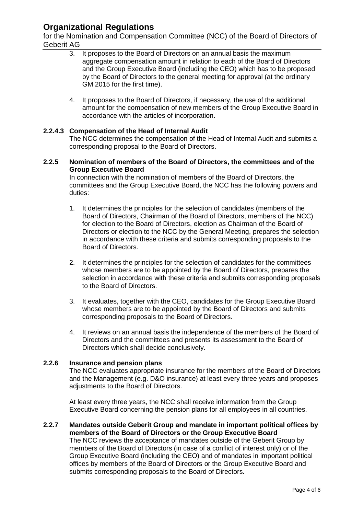for the Nomination and Compensation Committee (NCC) of the Board of Directors of Geberit AG

- 3. It proposes to the Board of Directors on an annual basis the maximum aggregate compensation amount in relation to each of the Board of Directors and the Group Executive Board (including the CEO) which has to be proposed by the Board of Directors to the general meeting for approval (at the ordinary GM 2015 for the first time).
- 4. It proposes to the Board of Directors, if necessary, the use of the additional amount for the compensation of new members of the Group Executive Board in accordance with the articles of incorporation.

### **2.2.4.3 Compensation of the Head of Internal Audit**

The NCC determines the compensation of the Head of Internal Audit and submits a corresponding proposal to the Board of Directors.

### **2.2.5 Nomination of members of the Board of Directors, the committees and of the Group Executive Board**

In connection with the nomination of members of the Board of Directors, the committees and the Group Executive Board, the NCC has the following powers and duties:

- 1. It determines the principles for the selection of candidates (members of the Board of Directors, Chairman of the Board of Directors, members of the NCC) for election to the Board of Directors, election as Chairman of the Board of Directors or election to the NCC by the General Meeting, prepares the selection in accordance with these criteria and submits corresponding proposals to the Board of Directors.
- 2. It determines the principles for the selection of candidates for the committees whose members are to be appointed by the Board of Directors, prepares the selection in accordance with these criteria and submits corresponding proposals to the Board of Directors.
- 3. It evaluates, together with the CEO, candidates for the Group Executive Board whose members are to be appointed by the Board of Directors and submits corresponding proposals to the Board of Directors.
- 4. It reviews on an annual basis the independence of the members of the Board of Directors and the committees and presents its assessment to the Board of Directors which shall decide conclusively.

### **2.2.6 Insurance and pension plans**

The NCC evaluates appropriate insurance for the members of the Board of Directors and the Management (e.g. D&O insurance) at least every three years and proposes adjustments to the Board of Directors.

At least every three years, the NCC shall receive information from the Group Executive Board concerning the pension plans for all employees in all countries.

### **2.2.7 Mandates outside Geberit Group and mandate in important political offices by members of the Board of Directors or the Group Executive Board**

The NCC reviews the acceptance of mandates outside of the Geberit Group by members of the Board of Directors (in case of a conflict of interest only) or of the Group Executive Board (including the CEO) and of mandates in important political offices by members of the Board of Directors or the Group Executive Board and submits corresponding proposals to the Board of Directors.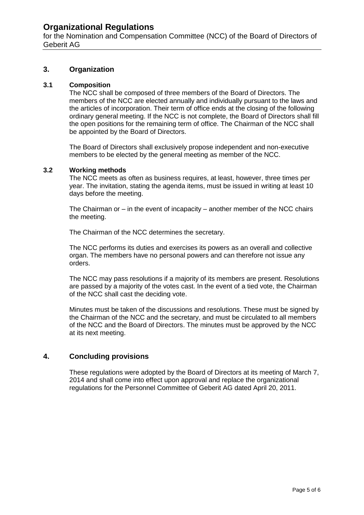for the Nomination and Compensation Committee (NCC) of the Board of Directors of Geberit AG

### **3. Organization**

### **3.1 Composition**

The NCC shall be composed of three members of the Board of Directors. The members of the NCC are elected annually and individually pursuant to the laws and the articles of incorporation. Their term of office ends at the closing of the following ordinary general meeting. If the NCC is not complete, the Board of Directors shall fill the open positions for the remaining term of office. The Chairman of the NCC shall be appointed by the Board of Directors.

The Board of Directors shall exclusively propose independent and non-executive members to be elected by the general meeting as member of the NCC.

### **3.2 Working methods**

The NCC meets as often as business requires, at least, however, three times per year. The invitation, stating the agenda items, must be issued in writing at least 10 days before the meeting.

The Chairman or – in the event of incapacity – another member of the NCC chairs the meeting.

The Chairman of the NCC determines the secretary.

The NCC performs its duties and exercises its powers as an overall and collective organ. The members have no personal powers and can therefore not issue any orders.

The NCC may pass resolutions if a majority of its members are present. Resolutions are passed by a majority of the votes cast. In the event of a tied vote, the Chairman of the NCC shall cast the deciding vote.

Minutes must be taken of the discussions and resolutions. These must be signed by the Chairman of the NCC and the secretary, and must be circulated to all members of the NCC and the Board of Directors. The minutes must be approved by the NCC at its next meeting.

### **4. Concluding provisions**

These regulations were adopted by the Board of Directors at its meeting of March 7, 2014 and shall come into effect upon approval and replace the organizational regulations for the Personnel Committee of Geberit AG dated April 20, 2011.